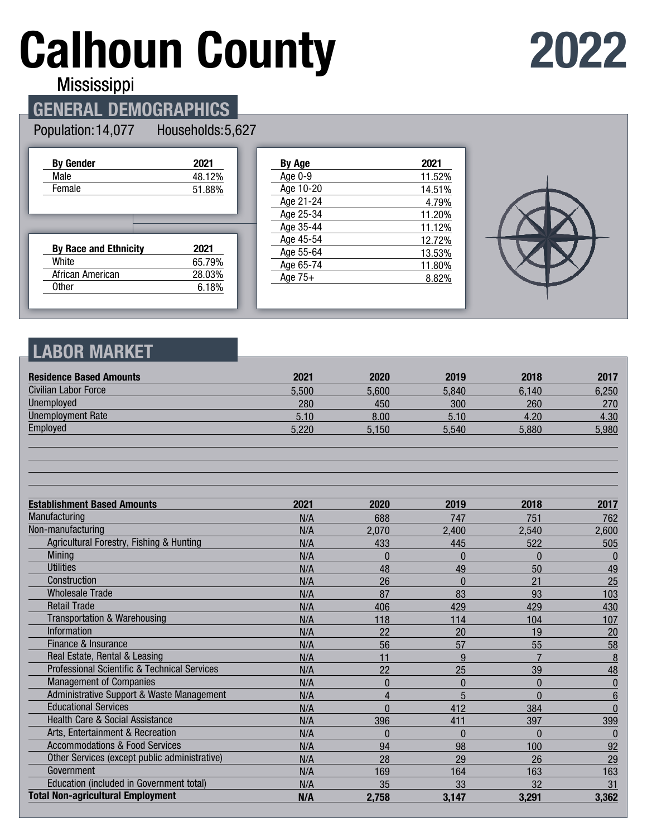# **Calhoun County**

## **2022**

**Mississippi** 

## **GENERAL DEMOGRAPHICS**

#### Population: 14,077 Households: 5,627

| <b>By Gender</b>             | 2021   |
|------------------------------|--------|
| Male                         | 48.12% |
| Female                       | 51.88% |
|                              |        |
|                              |        |
|                              |        |
| <b>By Race and Ethnicity</b> | 2021   |
| White                        | 65.79% |
| African American             | 28.03% |

| By Age    | 2021   |
|-----------|--------|
| Age 0-9   | 11.52% |
| Age 10-20 | 14.51% |
| Age 21-24 | 4.79%  |
| Age 25-34 | 11.20% |
| Age 35-44 | 11.12% |
| Age 45-54 | 12.72% |
| Age 55-64 | 13.53% |
| Age 65-74 | 11.80% |
| Age $75+$ | 8.82%  |
|           |        |



## **LABOR MARKET**

| <b>Residence Based Amounts</b>                          | 2021  | 2020         | 2019         | 2018           | 2017            |
|---------------------------------------------------------|-------|--------------|--------------|----------------|-----------------|
| <b>Civilian Labor Force</b>                             | 5,500 | 5,600        | 5,840        | 6,140          | 6,250           |
| <b>Unemployed</b>                                       | 280   | 450          | 300          | 260            | 270             |
| <b>Unemployment Rate</b>                                | 5.10  | 8.00         | 5.10         | 4.20           | 4.30            |
| Employed                                                | 5.220 | 5,150        | 5,540        | 5,880          | 5,980           |
|                                                         |       |              |              |                |                 |
| <b>Establishment Based Amounts</b>                      | 2021  | 2020         | 2019         | 2018           | 2017            |
| Manufacturing                                           | N/A   | 688          | 747          | 751            | 762             |
| Non-manufacturing                                       | N/A   | 2,070        | 2,400        | 2,540          | 2,600           |
| Agricultural Forestry, Fishing & Hunting                | N/A   | 433          | 445          | 522            | 505             |
| <b>Mining</b>                                           | N/A   | $\mathbf{0}$ | $\Omega$     | $\Omega$       | $\bf{0}$        |
| <b>Utilities</b>                                        | N/A   | 48           | 49           | 50             | 49              |
| Construction                                            | N/A   | 26           | $\Omega$     | 21             | 25              |
| <b>Wholesale Trade</b>                                  | N/A   | 87           | 83           | 93             | 103             |
| <b>Retail Trade</b>                                     | N/A   | 406          | 429          | 429            | 430             |
| Transportation & Warehousing                            | N/A   | 118          | 114          | 104            | 107             |
| <b>Information</b>                                      | N/A   | 22           | 20           | 19             | 20              |
| Finance & Insurance                                     | N/A   | 56           | 57           | 55             | 58              |
| Real Estate, Rental & Leasing                           | N/A   | 11           | 9            | $\overline{7}$ | 8               |
| <b>Professional Scientific &amp; Technical Services</b> | N/A   | 22           | 25           | 39             | 48              |
| <b>Management of Companies</b>                          | N/A   | $\mathbf{0}$ | $\mathbf{0}$ | $\mathbf{0}$   | $\overline{0}$  |
| Administrative Support & Waste Management               | N/A   | 4            | 5            | $\mathbf{0}$   | $6\phantom{1}6$ |
| <b>Educational Services</b>                             | N/A   | $\Omega$     | 412          | 384            | $\Omega$        |
| <b>Health Care &amp; Social Assistance</b>              | N/A   | 396          | 411          | 397            | 399             |
| Arts, Entertainment & Recreation                        | N/A   | $\Omega$     | $\Omega$     | $\Omega$       | $\mathbf{0}$    |
| <b>Accommodations &amp; Food Services</b>               | N/A   | 94           | 98           | 100            | 92              |
| Other Services (except public administrative)           | N/A   | 28           | 29           | 26             | 29              |
| Government                                              | N/A   | 169          | 164          | 163            | 163             |
| Education (included in Government total)                | N/A   | 35           | 33           | 32             | 31              |
| <b>Total Non-agricultural Employment</b>                | N/A   | 2,758        | 3,147        | 3,291          | 3,362           |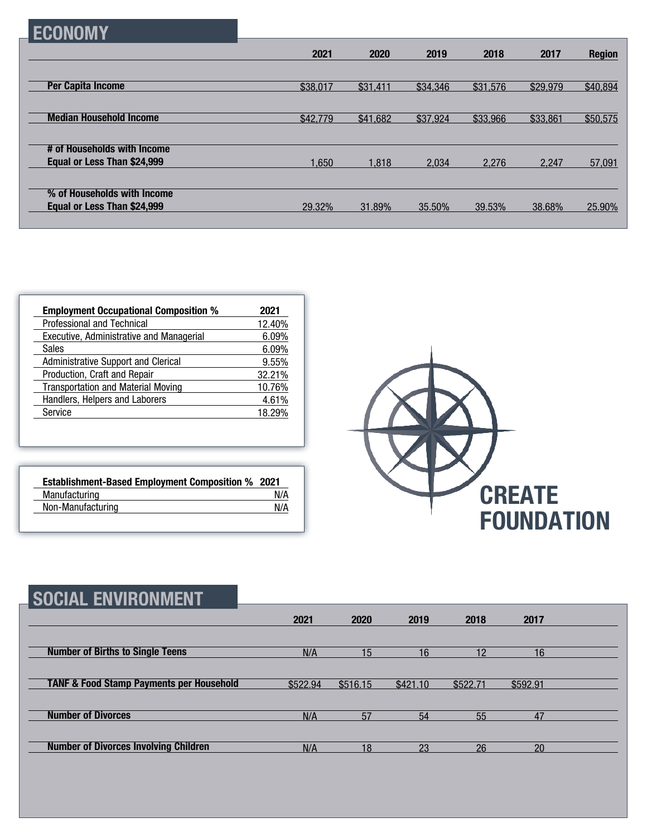| н |
|---|
|---|

|                                | 2021     | 2020     | 2019     | 2018     | 2017     | <b>Region</b> |
|--------------------------------|----------|----------|----------|----------|----------|---------------|
|                                |          |          |          |          |          |               |
| <b>Per Capita Income</b>       | \$38,017 | \$31,411 | \$34,346 | \$31,576 | \$29,979 | \$40,894      |
|                                |          |          |          |          |          |               |
| <b>Median Household Income</b> | \$42,779 | \$41,682 | \$37,924 | \$33,966 | \$33,861 | \$50,575      |
|                                |          |          |          |          |          |               |
| # of Households with Income    |          |          |          |          |          |               |
| Equal or Less Than \$24,999    | 1,650    | 1.818    | 2.034    | 2.276    | 2.247    | 57,091        |
|                                |          |          |          |          |          |               |
| % of Households with Income    |          |          |          |          |          |               |
| Equal or Less Than \$24,999    | 29.32%   | 31.89%   | 35.50%   | 39.53%   | 38.68%   | 25.90%        |
|                                |          |          |          |          |          |               |

| <b>Employment Occupational Composition %</b> | 2021   |
|----------------------------------------------|--------|
| Professional and Technical                   | 12.40% |
| Executive, Administrative and Managerial     | 6.09%  |
| <b>Sales</b>                                 | 6.09%  |
| Administrative Support and Clerical          | 9.55%  |
| Production, Craft and Repair                 | 32.21% |
| <b>Transportation and Material Moving</b>    | 10.76% |
| Handlers, Helpers and Laborers               | 4.61%  |
| Service                                      | 18.29% |

| <b>Establishment-Based Employment Composition % 2021</b> |     |
|----------------------------------------------------------|-----|
| Manufacturing                                            | N/A |
| Non-Manufacturing                                        | N/A |



| <b>SOCIAL ENVIRONMENT</b>                           |          |                 |          |          |          |  |
|-----------------------------------------------------|----------|-----------------|----------|----------|----------|--|
|                                                     | 2021     | 2020            | 2019     | 2018     | 2017     |  |
| <b>Number of Births to Single Teens</b>             | N/A      | 15 <sub>1</sub> | 16       | 12       | 16       |  |
| <b>TANF &amp; Food Stamp Payments per Household</b> | \$522.94 | \$516.15        | \$421.10 | \$522.71 | \$592.91 |  |
| <b>Number of Divorces</b>                           | N/A      | 57              | 54       | 55       | 47       |  |
| <b>Number of Divorces Involving Children</b>        | N/A      | 18              | 23       | 26       | 20       |  |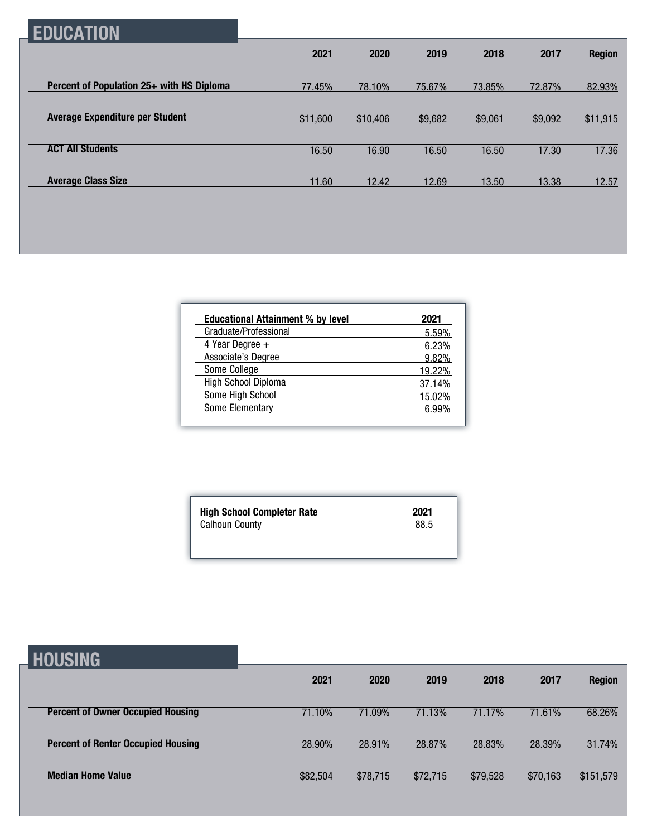## **EDUCATION**

|                                           | 2021     | 2020     | 2019    | 2018    | 2017    | <b>Region</b> |
|-------------------------------------------|----------|----------|---------|---------|---------|---------------|
|                                           |          |          |         |         |         |               |
| Percent of Population 25+ with HS Diploma | 77.45%   | 78.10%   | 75.67%  | 73.85%  | 72.87%  | 82.93%        |
|                                           |          |          |         |         |         |               |
| <b>Average Expenditure per Student</b>    | \$11,600 | \$10,406 | \$9,682 | \$9,061 | \$9,092 | \$11,915      |
|                                           |          |          |         |         |         |               |
| <b>ACT All Students</b>                   | 16.50    | 16.90    | 16.50   | 16.50   | 17.30   | 17.36         |
|                                           |          |          |         |         |         |               |
| <b>Average Class Size</b>                 | 11.60    | 12.42    | 12.69   | 13.50   | 13.38   | 12.57         |

| <b>Educational Attainment % by level</b> | 2021   |
|------------------------------------------|--------|
| Graduate/Professional                    | 5.59%  |
| 4 Year Degree $+$                        | 6.23%  |
| Associate's Degree                       | 9.82%  |
| Some College                             | 19.22% |
| High School Diploma                      | 37.14% |
| Some High School                         | 15.02% |
| Some Elementary                          | 6.99%  |

| <b>High School Completer Rate</b> | 2021 |
|-----------------------------------|------|
| <b>Calhoun County</b>             | 88.5 |

| <b>HOUSING</b>                            |          |          |          |          |          |               |
|-------------------------------------------|----------|----------|----------|----------|----------|---------------|
|                                           | 2021     | 2020     | 2019     | 2018     | 2017     | <b>Region</b> |
| <b>Percent of Owner Occupied Housing</b>  | 71.10%   | 71.09%   | 71.13%   | 71.17%   | 71.61%   | 68.26%        |
|                                           |          |          |          |          |          |               |
| <b>Percent of Renter Occupied Housing</b> | 28.90%   | 28.91%   | 28.87%   | 28.83%   | 28.39%   | 31.74%        |
| <b>Median Home Value</b>                  | \$82,504 | \$78,715 | \$72,715 | \$79,528 | \$70,163 | \$151,579     |
|                                           |          |          |          |          |          |               |